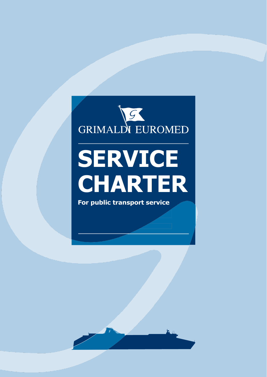

# **SERVICE CHARTER**

**For public transport service**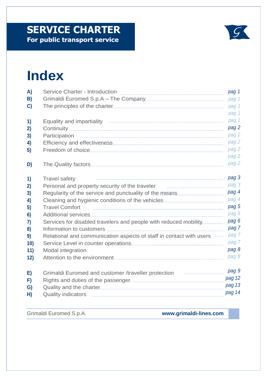## **SERVICE CHARTER**<br>For public transport service



### **Index**

| A)           | <b>Service Charter - Introduction</b>                                                                | pag 1  |
|--------------|------------------------------------------------------------------------------------------------------|--------|
| B)           | Grimaldi Euromed S.p.A - The Company [10] [10] [10] [10] [11] Grimaldi Euromed S.p.A - The Company   | pag 1  |
| $\mathbf{C}$ |                                                                                                      | pag 1  |
|              |                                                                                                      | pag 1  |
| 1)           |                                                                                                      | pag 1  |
| 2)           |                                                                                                      | pag 2  |
| 3)           |                                                                                                      | pag 2  |
| 4)           |                                                                                                      | pag 2  |
| 5)           |                                                                                                      | pag 2  |
|              |                                                                                                      | pag 2  |
| D)           |                                                                                                      | pag 2  |
| 1)           | <b>Travel safety</b>                                                                                 | pag 3  |
| 2)           | Personal and property security of the traveler                                                       | pag 3  |
| 3)           | Regularity of the service and punctuality of the means <b>constitution</b> Regularity of the service | pag 4  |
| 4)           | Cleaning and hygienic conditions of the vehicles                                                     | pag 4  |
| 5)           | <b>Travel Comfort</b>                                                                                | pag 5  |
| 6)           |                                                                                                      | pag 5  |
| 7)           | Services for disabled travelers and people with reduced mobility__________                           | pag 6  |
| 8)           | Information to customers                                                                             | pag 7  |
| 9)           | Relational and communication aspects of staff in contact with users -----                            | pag 7  |
| 10)          |                                                                                                      | pag 7  |
| 11)          | <b>Modal integration</b>                                                                             | pag 8  |
| 12)          |                                                                                                      | pag 8  |
| E)           | Grimaldi Euromed and customer /traveller protection<br>---------------                               | pag 9  |
| F)           |                                                                                                      | pag 12 |
| G)           |                                                                                                      | pag 13 |
| H)           |                                                                                                      | pag 14 |

Grimaldi Euromed S.p.A. **[www.grimaldi-lines.com](http://www.grimaldi-lines.com/)**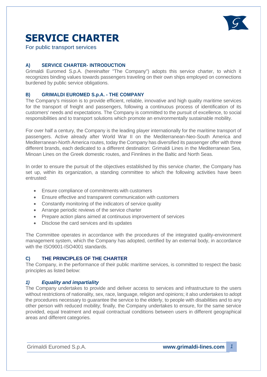

### **SERVICE CHARTER**

For public transport services

#### **A) SERVICE CHARTER- INTRODUCTION**

Grimaldi Euromed S.p.A. (hereinafter "The Company") adopts this service charter, to which it recognizes binding values towards passengers traveling on their own ships employed on connections burdened by public service obligations.

#### **B) GRIMALDI EUROMED S.p.A. - THE COMPANY**

The Company's mission is to provide efficient, reliable, innovative and high quality maritime services for the transport of freight and passengers, following a continuous process of identification of its customers' needs and expectations. The Company is committed to the pursuit of excellence, to social responsibilities and to transport solutions which promote an environmentally sustainable mobility.

For over half a century, the Company is the leading player internationally for the maritime transport of passengers. Active already after World War II on the Mediterranean-Neo-South America and Mediterranean-North America routes, today the Company has diversified its passenger offer with three different brands, each dedicated to a different destination: Grimaldi Lines in the Mediterranean Sea, Minoan Lines on the Greek domestic routes, and Finnlines in the Baltic and North Seas.

In order to ensure the pursuit of the objectives established by this service charter, the Company has set up, within its organization, a standing committee to which the following activities have been entrusted:

- Ensure compliance of commitments with customers
- Ensure effective and transparent communication with customers
- Constantly monitoring of the indicators of service quality
- Arrange periodic reviews of the service charter
- Prepare action plans aimed at continuous improvement of services
- Disclose the card services and its updates

The Committee operates in accordance with the procedures of the integrated quality-environment management system, which the Company has adopted, certified by an external body, in accordance with the ISO9001-ISO4001 standards.

#### **C) THE PRINCIPLES OF THE CHARTER**

The Company, in the performance of their public maritime services, is committed to respect the basic principles as listed below:

#### *1) Equality and impartiality*

The Company undertakes to provide and deliver access to services and infrastructure to the users without restrictions of nationality, sex, race, language, religion and opinions; it also undertakes to adopt the procedures necessary to guarantee the service to the elderly, to people with disabilities and to any other person with reduced mobility; finally, the Company undertakes to ensure, for the same service provided, equal treatment and equal contractual conditions between users in different geographical areas and different categories.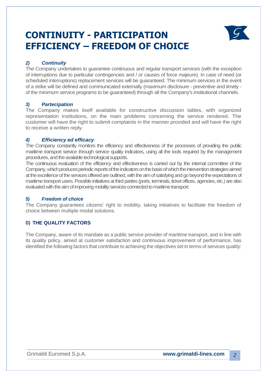### **CONTINUITY - PARTICIPATION EFFICIENCY – FREEDOM OF CHOICE**



#### *2) Continuity*

The Company undertakes to guarantee continuous and regular transport services (with the exception of interruptions due to particular contingencies and / or causes of force majeure). In case of need (or scheduled interruptions) replacement services will be guaranteed. The minimum services in the event of a strike will be defined and communicated externally (maximum disclosure - preventive and timely of the minimum service programs to be guaranteed) through all the Company's institutional channels.

#### *3) Partecipation*

The Company makes itself available for constructive discussion tables, with organized representation institutions, on the main problems concerning the service rendered. The customer will have the right to submit complaints in the manner provided and will have the right to receive a written reply.

#### *4) Efficiency ed efficacy*

The Company constantly monitors the efficiency and effectiveness of the processes of providing the public maritime transport service through service quality indicators, using all the tools required by the management procedures, and the available technological supports.

The continuous evaluation of the efficiency and effectiveness is carried out by the internal committee of the Company, which produces periodic reports of the indicators on the basis of which the intervention strategies aimed at the excellence of the services offered are outlined, with the aim of satisfying and go beyond the expectations of maritime transport users. Possible initiatives at third parties (ports, terminals, ticket offices, agencies, etc.) are also evaluated with the aim of improving mobility services connected to maritime transport.

#### *5) Freedom of choice*

The Company guarantees citizens' right to mobility, taking initiatives to facilitate the freedom of choice between multiple modal solutions.

#### **D) THE QUALITY FACTORS**

The Company, aware of its mandate as a public service provider of maritime transport, and in line with its quality policy, aimed at customer satisfaction and continuous improvement of performance, has identified the following factors that contribute to achieving the objectives set in terms of services quality: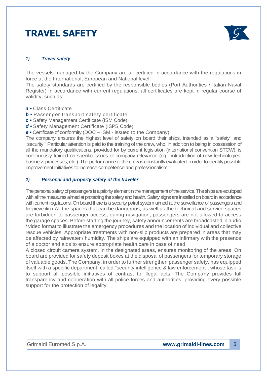### **TRAVEL SAFETY**



#### *1) Travel safety*

The vessels managed by the Company are all certified in accordance with the regulations in force at the International, European and National level.

The safety standards are certified by the responsible bodies (Port Authorities / Italian Naval Register) in accordance with current regulations; all certificates are kept in regular course of validity; such as:

- *a •* Class Certificate
- *b •* Passenger transport safety certificate
- *c •* Safety Management Certificate (ISM Code)
- *d •* Safety Management Certificate (ISPS Code)

*e •* Certificate of conformity (DOC – ISM - issued to the Company)

The company ensures the highest level of safety on board their ships, intended as a "safety" and "security." Particular attention is paid to the training of the crew, who, in addition to being in possession of all the mandatory qualifications, provided for by current legislation (international convention STCW), is continuously trained on specific issues of company relevance (eg . introduction of new technologies; business processes, etc.). The performance of the crew is constantly evaluated in order to identify possible improvement initiatives to increase competence and professionalism.

#### *2) Personal and property safety of the traveler*

The personal safety of passengers is a priority element in the management of the service. The ships are equipped with all the measures aimed at protecting the safety and health. Safety signs are installed on board in accordance with current regulations. On board there is a security patrol system aimed at the surveillance of passengers and fire prevention. All the spaces that can be dangerous, as well as the technical and service spaces are forbidden to passenger access; during navigation, passengers are not allowed to access the garage spaces. Before starting the journey, safety announcements are broadcasted in audio / video format to illustrate the emergency procedures and the location of individual and collective rescue vehicles. Appropriate treatments with non-slip products are prepared in areas that may be affected by rainwater / humidity. The ships are equipped with an infirmary with the presence of a doctor and aids to ensure appropriate health care in case of need.

A closed circuit camera system, in the designated areas, ensures monitoring of the areas. On board are provided for safety deposit boxes at the disposal of passengers for temporary storage of valuable goods. The Company, in order to further strengthen passenger safety, has equipped itself with a specific department, called "security intelligence & law enforcement", whose task is to support all possible initiatives of contrast to illegal acts. The Company provides full transparency and cooperation with all police forces and authorities, providing every possible support for the protection of legality.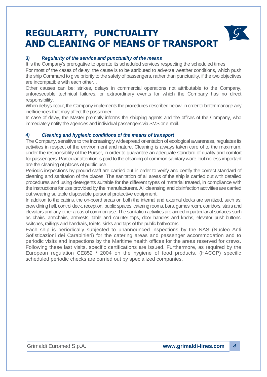### **REGULARITY, PUNCTUALITY AND CLEANING OF MEANS OF TRANSPORT**



It is the Company's prerogative to operate its scheduled services respecting the scheduled times.

For most of the cases of delay, the cause is to be attributed to adverse weather conditions, which push the ship Command to give priority to the safety of passengers, rather than punctuality, if the two objectives are incompatible with each other. .

Other causes can be: strikes, delays in commercial operations not attributable to the Company, unforeseeable technical failures, or extraordinary events for which the Company has no direct responsibility.

When delays occur, the Company implements the procedures described below, in order to better manage any inefficiencies that may affect the passenger.

In case of delay, the Master promptly informs the shipping agents and the offices of the Company, who immediately notify the agencies and individual passengers via SMS or e-mail.

#### *4) Cleaning and hygienic conditions of the means of transport*

The Company, sensitive to the increasingly widespread orientation of ecological awareness, regulates its activities in respect of the environment and nature. Cleaning is always taken care of to the maximum, under the responsibility of the Purser, in order to guarantee an adequate standard of quality and comfort for passengers. Particular attention is paid to the cleaning of common sanitary ware, but no less important are the cleaning of places of public use.

Periodic inspections by ground staff are carried out in order to verify and certify the correct standard of cleaning and sanitation of the places. The sanitation of all areas of the ship is carried out with detailed procedures and using detergents suitable for the different types of material treated, in compliance with the instructions for use provided by the manufacturers. All cleansing and disinfection activities are carried out wearing suitable disposable personal protective equipment.

In addition to the cabins, the on-board areas on both the internal and external decks are sanitized, such as: crew dining hall, control deck, reception, public spaces, catering rooms, bars, games room, corridors, stairs and elevators and any other areas of common use. The sanitation activities are aimed in particular at surfaces such as chairs, armchairs, armrests, table and counter tops, door handles and knobs, elevator push-buttons, switches, railings and handrails, toilets, sinks and taps of the public bathrooms.

Each ship is periodically subjected to unannounced inspections by the NAS (Nucleo Anti Sofisticazioni dei Carabinieri) for the catering areas and passenger accommodation and to periodic visits and inspections by the Maritime health offices for the areas reserved for crews. Following these last visits, specific certifications are issued. Furthermore, as required by the European regulation CE852 / 2004 on the hygiene of food products, (HACCP) specific scheduled periodic checks are carried out by specialized companies.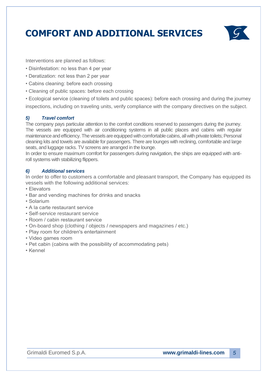**COMFORT AND ADDITIONAL SERVICES**



Interventions are planned as follows:

- Disinfestation: no less than 4 per year
- Deratization: not less than 2 per year
- Cabins cleaning: before each crossing
- Cleaning of public spaces: before each crossing

• Ecological service (cleaning of toilets and public spaces): before each crossing and during the journey inspections, including on traveling units, verify compliance with the company directives on the subject.

#### *5) Travel comfort*

The company pays particular attention to the comfort conditions reserved to passengers during the journey. The vessels are equipped with air conditioning systems in all public places and cabins with regular maintenance and efficiency. The vessels are equipped with comfortable cabins, all with private toilets; Personal cleaning kits and towels are available for passengers. There are lounges with reclining, comfortable and large seats, and luggage racks. TV screens are arranged in the lounge.

In order to ensure maximum comfort for passengers during navigation, the ships are equipped with antiroll systems with stabilizing flippers.

#### *6) Additional services*

In order to offer to customers a comfortable and pleasant transport, the Company has equipped its vessels with the following additional services:

- Elevators
- Bar and vending machines for drinks and snacks
- Solarium
- A la carte restaurant service
- Self-service restaurant service
- Room / cabin restaurant service
- On-board shop (clothing / objects / newspapers and magazines / etc.)
- Play room for children's entertainment
- Video games room
- Pet cabin (cabins with the possibility of accommodating pets)
- Kennel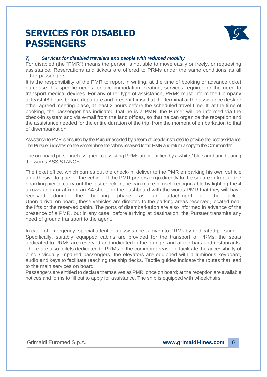### **SERVICES FOR DISABLED PASSENGER PER I PASSENGERS**



#### **V**<br>**Compare for disable** *7) Services for disabled travelers and people with reduced mobility*

For disabled (the "PMR") means the person is not able to move easily or freely, or requesting assistance. Reservations and tickets are offered to PRMs under the same conditions as all other passengers.

It is the responsibility of the PMR to report in writing, at the time of booking or advance ticket purchase, his specific needs for accommodation, seating, services required or the need to transport medical devices. For any other type of assistance, PRMs must inform the Company at least 48 hours before departure and present himself at the terminal at the assistance desk or other agreed meeting place, at least 2 hours before the scheduled travel time. If, at the time of booking, the passenger has indicated that he is a PMR, the Purser will be informed via the check-in system and via e-mail from the land offices, so that he can organize the reception and the assistance needed for the entire duration of the trip, from the moment of embarkation to that of disembarkation.

Assistance to PMR is ensured by the Pursuer assisted by a team of people instructed to provide the best assistance. The Pursuer indicates on the vessel plane the cabins reserved to the PMR and return a copy to the Commander.

The on-board personnel assigned to assisting PRMs are identified by a white / blue armband bearing the words ASSISTANCE.

The ticket office, which carries out the check-in, deliver to the PMR embarking his own vehicle an adhesive to glue on the vehicle. If the PMR prefers to go directly to the square in front of the boarding pier to carry out the fast check-in, he can make himself recognizable by lighting the 4 arrows and / or affixing an A4 sheet on the dashboard with the words PMR that they will have received during the booking phase as an attachment to the ticket. Upon arrival on board, these vehicles are directed to the parking areas reserved, located near the lifts or the reserved cabin. The ports of disembarkation are also informed in advance of the presence of a PMR, but in any case, before arriving at destination, the Pursuer transmits any need of ground transport to the agent.

In case of emergency, special attention / assistance is given to PRMs by dedicated personnel. Specifically, suitably equipped cabins are provided for the transport of PRMs; the seats dedicated to PRMs are reserved and indicated in the lounge, and at the bars and restaurants. There are also toilets dedicated to PRMs in the common areas. To facilitate the accessibility of blind / visually impaired passengers, the elevators are equipped with a luminous keyboard, audio and keys to facilitate reaching the ship decks. Tactile guides indicate the routes that lead to the main services on board.

Passengers are entitled to declare themselves as PMR, once on board; at the reception are available notices and forms to fill out to apply for assistance. The ship is equipped with wheelchairs.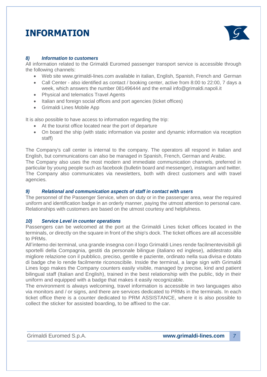### **INFORMATION**



#### *8) Information to customers*

All information related to the Grimaldi Euromed passenger transport service is accessible through the following channels:

- Web site [www.grimaldi-lines.com a](http://www.grimaldi-lines.com/)vailable in italian, English, Spanish, French and German
- Call Center also identified as contact / booking center, active from 8:00 to 22:00, 7 days a week, which answers the number 081496444 and the email info@grimaldi.napoli.it
- Physical and telematics Travel Agents
- Italian and foreign social offices and port agencies (ticket offices)
- Grimaldi Lines Mobile App

It is also possible to have access to information regarding the trip:

- At the tourist office located near the port of departure
- On board the ship (with static information via poster and dynamic information via reception staff)

The Company's call center is internal to the company. The operators all respond in Italian and English, but communications can also be managed in Spanish, French, German and Arabic. The Company also uses the most modern and immediate communication channels, preferred in particular by young people such as facebook (bulletin board and messenger), instagram and twitter. The Company also communicates via newsletters, both with direct customers and with travel agencies.

#### *9) Relational and communication aspects of staff in contact with users*

The personnel of the Passenger Service, when on duty or in the passenger area, wear the required uniform and identification badge in an orderly manner, paying the utmost attention to personal care. Relationships with customers are based on the utmost courtesy and helpfulness.

#### *10) Service Level in counter operations*

Passengers can be welcomed at the port at the Grimaldi Lines ticket offices located in the terminals, or directly on the square in front of the ship's dock. The ticket offices are all accessible to PRMs.

All'interno dei terminal, una grande insegna con il logo Grimaldi Lines rende facilmentevisibili gli sportelli della Compagnia, gestiti da personale bilingue (italiano ed inglese), addestrato alla migliore relazione con il pubblico, preciso, gentile e paziente, ordinato nella sua divisa e dotato di badge che lo rende facilmente riconoscibile. Inside the terminal, a large sign with Grimaldi Lines logo makes the Company counters easily visible, managed by precise, kind and patient bilingual staff (Italian and English), trained in the best relationship with the public, tidy in their uniform and equipped with a badge that makes it easily recognizable.

The environment is always welcoming, travel information is accessible in two languages also via monitors and / or signs, and there are services dedicated to PRMs in the terminals. In each ticket office there is a counter dedicated to PRM ASSISTANCE, where it is also possible to collect the sticker for assisted boarding, to be affixed to the car.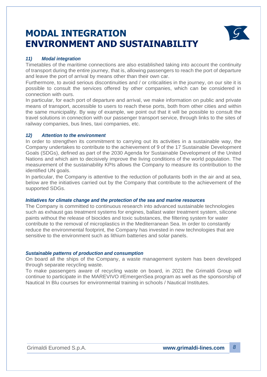### **MODAL INTEGRATION ENVIRONMENT AND SUSTAINABILITY**



#### *11) Modal integration*

Timetables of the maritime connections are also established taking into account the continuity of transport during the entire journey, that is, allowing passengers to reach the port of departure and leave the port of arrival by means other than their own car.

Furthermore, to avoid serious discontinuities and / or criticalities in the journey, on our site it is possible to consult the services offered by other companies, which can be considered in connection with ours.

In particular, for each port of departure and arrival, we make information on public and private means of transport, accessible to users to reach these ports, both from other cities and within the same municipality. By way of example, we point out that it will be possible to consult the travel solutions in connection with our passenger transport service, through links to the sites of railway companies, bus lines, taxi companies, etc.

#### *12) Attention to the environment*

In order to strengthen its commitment to carrying out its activities in a sustainable way, the Company undertakes to contribute to the achievement of 9 of the 17 Sustainable Development Goals (SDGs), defined as part of the 2030 Agenda for Sustainable Development of the United Nations and which aim to decisively improve the living conditions of the world population. The measurement of the sustainability KPIs allows the Company to measure its contribution to the identified UN goals.

In particular, the Company is attentive to the reduction of pollutants both in the air and at sea, below are the initiatives carried out by the Company that contribute to the achievement of the supported SDGs.

#### *Initiatives for climate change and the protection of the sea and marine resources*

The Company is committed to continuous research into advanced sustainable technologies such as exhaust gas treatment systems for engines, ballast water treatment system, silicone paints without the release of biocides and toxic substances, the filtering system for water contribute to the removal of microplastics in the Mediterranean Sea. In order to constantly reduce the environmental footprint, the Company has invested in new technologies that are sensitive to the environment such as lithium batteries and solar panels.

#### *Sustainable patterns of production and consumption*

On board all the ships of the Company, a waste management system has been developed through separate recycling waste.

To make passengers aware of recycling waste on board, in 2021 the Grimaldi Group will continue to participate in the MAREVIVO #EmergenSea program as well as the sponsorship of Nautical In Blu courses for environmental training in schools / Nautical Institutes.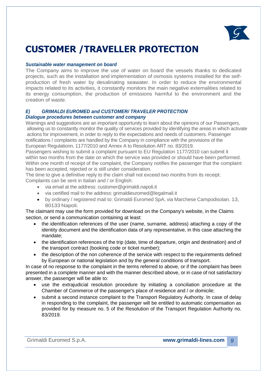

### **CUSTOMER /TRAVELLER PROTECTION**

#### *Sustainable water management on board*

The Company aims to improve the use of water on board the vessels thanks to dedicated projects, such as the installation and implementation of osmosis systems installed for the selfproduction of fresh water by desalinating seawater. In order to reduce the environmental impacts related to its activities, it constantly monitors the main negative externalities related to its energy consumption, the production of emissions harmful to the environment and the creation of waste.

#### *E) GRIMALDI EUROMED and CUSTOMER/ TRAVELER PROTECTION Dialogue procedures between customer and company*

Warnings and suggestions are an important opportunity to learn about the opinions of our Passengers, allowing us to constantly monitor the quality of services provided by identifying the areas in which activate actions for improvement, in order to reply to the expectations and needs of customers. Passenger notifications / complaints are handled by the Company in compliance with the provisions of the European Regulationn. 1177/2010 and Annex A to Resolution ART no. 83/2019.

Passengers wishing to submit a complaint pursuant to EU Regulation 1177/2010 can submit it within two months from the date on which the service was provided or should have been performed. Within one month of receipt of the complaint, the Company notifies the passenger that the complaint has been accepted, rejected or is still under consideration.

The time to give a definitive reply to the claim shall not exceed two months from its receipt. Complaints can be sent in Italian and / or English:

- via email at the address: [customer@grimaldi.napoli.it](mailto:customer@grimaldi.napoli.it)
- via certified mail to the address: [grimaldieur](mailto:grimaldieuromed@legalmail.it)[omed@legalmail.it](mailto:omed@legalmail.it)
- by ordinary / registered mail to: Grimaldi Euromed SpA, via Marchese Campodisolan. 13, 80133 Napoli.

 The claimant may use the form provided for download on the Company's website, in the Claims section, or send a communication containing at least:

- the identification references of the user (name, surname, address) attaching a copy of the identity document and the identification data of any representative, in this case attaching the mandate;
- the identification references of the trip (date, time of departure, origin and destination) and of the transport contract (booking code or ticket number);
- the description of the non coherence of the service with respect to the requirements defined by European or national legislation and by the general conditions of transport.

In case of no response to the complaint in the terms referred to above, or if the complaint has been presented in a complete manner and with the manner described above, or in case of not satisfactory answer, the passenger will be able to:

- use the extrajudicial resolution procedure by initiating a conciliation procedure at the Chamber of Commerce of the passenger's place of residence and / or domicile;
- submit a second instance complaint to the Transport Regulatory Authority. In case of delay in responding to the complaint, the passenger will be entitled to automatic compensation as provided for by measure no. 5 of the Resolution of the Transport Regulation Authority no. 83/2019.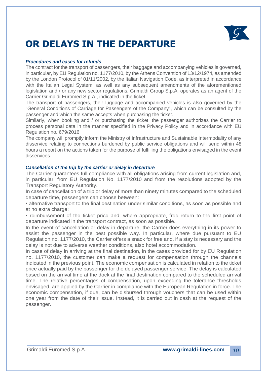

### **OR DELAYS IN THE DEPARTURE**

#### *Procedures and cases for refunds*

The contract for the transport of passengers, their baggage and accompanying vehicles is governed, in particular, by EU Regulation no. 1177/2010, by the Athens Convention of 13/12/1974, as amended by the London Protocol of 01/11/2002, by the Italian Navigation Code, as interpreted in accordance with the Italian Legal System, as well as any subsequent amendments of the aforementioned legislation and / or any new sector regulations. Grimaldi Group S.p.A. operates as an agent of the Carrier Grimaldi Euromed S.p.A., indicated in the ticket.

The transport of passengers, their luggage and accompanied vehicles is also governed by the "General Conditions of Carriage for Passengers of the Company", which can be consulted by the passenger and which the same accepts when purchasing the ticket.

Similarly, when booking and / or purchasing the ticket, the passenger authorizes the Carrier to process personal data in the manner specified in the Privacy Policy and in accordance with EU Regulation no. 679/2016.

The company will promptly inform the Ministry of Infrastructure and Sustainable Intermodality of any disservice relating to connections burdened by public service obligations and will send within 48 hours a report on the actions taken for the purpose of fulfilling the obligations envisaged in the event disservices.

#### *Cancellation of the trip by the carrier or delay in departure*

The Carrier guarantees full compliance with all obligations arising from current legislation and, in particular, from EU Regulation No. 1177/2010 and from the resolutions adopted by the Transport Regulatory Authority.

In case of cancellation of a trip or delay of more than ninety minutes compared to the scheduled departure time, passengers can choose between:

• alternative transport to the final destination under similar conditions, as soon as possible and at no extra charge;

• reimbursement of the ticket price and, where appropriate, free return to the first point of departure indicated in the transport contract, as soon as possible.

In the event of cancellation or delay in departure, the Carrier does everything in its power to assist the passenger in the best possible way. In particular, where due pursuant to EU Regulation no. 1177/2010, the Carrier offers a snack for free and, if a stay is necessary and the delay is not due to adverse weather conditions, also hotel accommodation.

In case of delay in arriving at the final destination, in the cases provided for by EU Regulation no. 1177/2010, the customer can make a request for compensation through the channels indicated in the previous point. The economic compensation is calculated in relation to the ticket price actually paid by the passenger for the delayed passenger service. The delay is calculated based on the arrival time at the dock at the final destination compared to the scheduled arrival time. The relative percentages of compensation, upon exceeding the tolerance thresholds envisaged, are applied by the Carrier in compliance with the European Regulation in force. The economic compensation, if due, can be disbursed through vouchers that can be used within one year from the date of their issue. Instead, it is carried out in cash at the request of the passenger.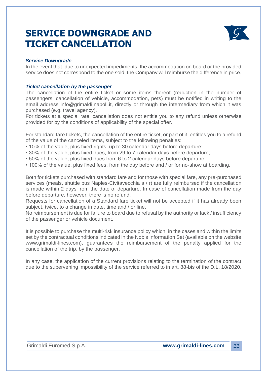### **SERVICE DOWNGRADE AND TICKET CANCELLATION**



#### *Service Downgrade*

In the event that, due to unexpected impediments, the accommodation on board or the provided service does not correspond to the one sold, the Company will reimburse the difference in price.

#### *Ticket cancellation by the passenger*

The cancellation of the entire ticket or some items thereof (reduction in the number of passengers, cancellation of vehicle, accommodation, pets) must be notified in writing to the email address info@grimaldi.napoli.it, directly or through the intermediary from which it was purchased (e.g. travel agency).

For tickets at a special rate, cancellation does not entitle you to any refund unless otherwise provided for by the conditions of applicability of the special offer.

For standard fare tickets, the cancellation of the entire ticket, or part of it, entitles you to a refund of the value of the canceled items, subject to the following penalties:

- 10% of the value, plus fixed rights, up to 30 calendar days before departure;
- 30% of the value, plus fixed dues, from 29 to 7 calendar days before departure;
- 50% of the value, plus fixed dues from 6 to 2 calendar days before departure;
- 100% of the value, plus fixed fees, from the day before and / or for no-show at boarding.

Both for tickets purchased with standard fare and for those with special fare, any pre-purchased services (meals, shuttle bus Naples-Civitavecchia a / r) are fully reimbursed if the cancellation is made within 2 days from the date of departure. In case of cancellation made from the day before departure, however, there is no refund.

Requests for cancellation of a Standard fare ticket will not be accepted if it has already been subject, twice, to a change in date, time and / or line.

No reimbursement is due for failure to board due to refusal by the authority or lack / insufficiency of the passenger or vehicle document.

It is possible to purchase the multi-risk insurance policy which, in the cases and within the limits set by the contractual conditions indicated in the Nobis Information Set (available on the website www.grimaldi-lines.com), guarantees the reimbursement of the penalty applied for the cancellation of the trip. by the passenger.

In any case, the application of the current provisions relating to the termination of the contract due to the supervening impossibility of the service referred to in art. 88-bis of the D.L. 18/2020.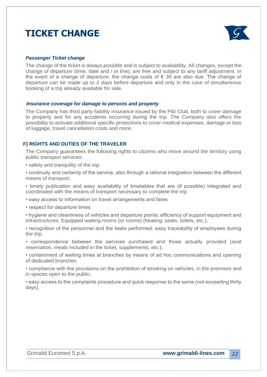### **TICKET CHANGE**



#### *Passenger Ticket change*

The change of the ticket is always possible and is subject to availability. All changes, except the change of departure (time, date and / or line), are free and subject to any tariff adjustment. In the event of a change of departure, the change costs of  $\epsilon$  30 are also due. The change of departure can be made up to 2 days before departure and only in the case of simultaneous booking of a trip already available for sale*.*

#### *Insurance coverage for damage to persons and property*

The Company has third party liability insurance issued by the P&I Club, both to cover damage to property and for any accidents occurring during the trip. The Company also offers the possibility to activate additional specific protections to cover medical expenses, damage or loss of luggage, travel cancellation costs and more.

#### **F) RIGHTS AND DUTIES OF THE TRAVELER**

The Company guarantees the following rights to citizens who move around the territory using public transport services:

• safety and tranquility of the trip

• continuity and certainty of the service, also through a rational integration between the different means of transport;

• timely publication and easy availability of timetables that are (if possible) integrated and coordinated with the means of transport necessary to complete the trip

• easy access to information on travel arrangements and fares

• respect for departure times

• hygiene and cleanliness of vehicles and departure points; efficiency of support equipment and infrastructures. Equipped waiting rooms (or rooms) (heating, seats, toilets, etc.);

• recognition of the personnel and the tasks performed; easy traceability of employees during the trip;

• correspondence between the services purchased and those actually provided (seat reservation, meals included in the ticket, supplements, etc.);

• containment of waiting times at branches by means of ad hoc communications and opening of dedicated branches

• compliance with the provisions on the prohibition of smoking on vehicles, in the premises and in spaces open to the public;

• easy access to the complaints procedure and quick response to the same (not exceeding thirty days).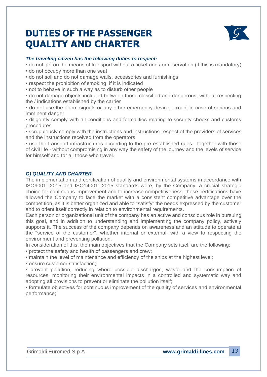### **DUTIES OF THE PASSENGER QUALITY AND CHARTER**



#### *The traveling citizen has the following duties to respect:*

- do not get on the means of transport without a ticket and / or reservation (if this is mandatory)
- do not occupy more than one seat
- do not soil and do not damage walls, accessories and furnishings
- respect the prohibition of smoking, if it is indicated
- not to behave in such a way as to disturb other people

• do not damage objects included between those classified and dangerous, without respecting the / indications established by the carrier

• do not use the alarm signals or any other emergency device, except in case of serious and imminent danger

• diligently comply with all conditions and formalities relating to security checks and customs procedures

• scrupulously comply with the instructions and instructions-respect of the providers of services and the instructions received from the operators

• use the transport infrastructures according to the pre-established rules - together with those of civil life - without compromising in any way the safety of the journey and the levels of service for himself and for all those who travel.

#### *G) QUALITY AND CHARTER*

The implementation and certification of quality and environmental systems in accordance with ISO9001: 2015 and ISO14001: 2015 standards were, by the Company, a crucial strategic choice for continuous improvement and to increase competitiveness; these certifications have allowed the Company to face the market with a consistent competitive advantage over the competition, as it is better organized and able to "satisfy" the needs expressed by the customer and to orient itself correctly in relation to environmental requirements.

Each person or organizational unit of the company has an active and conscious role in pursuing this goal, and in addition to understanding and implementing the company policy, actively supports it. The success of the company depends on awareness and an attitude to operate at the "service of the customer", whether internal or external, with a view to respecting the environment and preventing pollution.

In consideration of this, the main objectives that the Company sets itself are the following:

• protect the safety and health of passengers and crew;

• maintain the level of maintenance and efficiency of the ships at the highest level;

• ensure customer satisfaction;

• prevent pollution, reducing where possible discharges, waste and the consumption of resources, monitoring their environmental impacts in a controlled and systematic way and adopting all provisions to prevent or eliminate the pollution itself;

• formulate objectives for continuous improvement of the quality of services and environmental performance;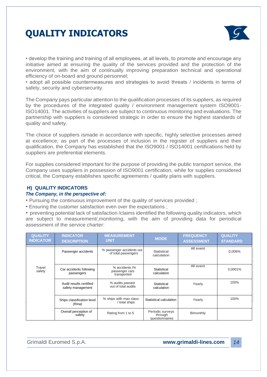

• develop the training and training of all employees, at all levels, to promote and encourage any initiative aimed at ensuring the quality of the services provided and the protection of the environment, with the aim of continually improving preparation technical and operational efficiency of on-board and ground personnel;

• adopt all possible countermeasures and strategies to avoid threats / incidents in terms of safety, security and cybersecurity.

The Company pays particular attention to the qualification processes of its suppliers, as required by the procedures of the integrated quality / environment management system ISO9001- ISO14001. The activities of suppliers are subject to continuous monitoring and evaluations. The partnership with suppliers is considered strategic in order to ensure the highest standards of quality and safety.

The choice of suppliers ismade in accordance with specific, highly selective processes aimed at excellence; as part of the processes of inclusion in the register of suppliers and their qualification, the Company has established that the ISO9001 / ISO14001 certifications held by suppliers are preferential elements.

For supplies considered important for the purpose of providing the public transport service, the Company uses suppliers in possession of ISO9001 certification, while for supplies considered critical, the Company establishes specific agreements / quality plans with suppliers.

#### **H) QUALITY INDICATORS**

#### *The Company, in the perspective of:*

• Pursuing the continuous improvement of the quality of services provided ;

• Ensuring the customer satisfaction even over the expectations ;

• preventing potential lack of satisfaction /claims identified the following quality indicators, which are subject to measurement/,monitoring, with the aim of providing data for periodical assessment of the service charter:

| <b>QUALITY</b><br><b>INDICATOR</b> | <b>INDICATOR</b><br><b>DESCRIPTION</b>       | <b>MEASUREMENT</b><br><b>UNIT</b>                | <b>MODE</b>                                   | <b>FREQUENCY</b><br><b>ASSESSMENT</b> | <b>QUALITY</b><br><b>STANDARD</b> |
|------------------------------------|----------------------------------------------|--------------------------------------------------|-----------------------------------------------|---------------------------------------|-----------------------------------|
|                                    | Passenger accidents                          | % passenger accidents out<br>of total passengers | Statistical<br>calculation                    | All event                             | 0,006%                            |
| Travel<br>safety                   | Car accidents following<br>passengers        | % accidents /%<br>passenger cars<br>transported  | Statistical<br>calculation                    | All event                             | 0,0001%                           |
|                                    | Audit results certified<br>safety management | % audits passed<br>out of total audits           | Statistical<br>calculation                    | Yearly                                | 100%                              |
|                                    | Ships classification level<br>(Rina)         | % ships with max class<br>total ships            | Statistical calculation                       | Yearly                                | 100%                              |
|                                    | Overall perception of<br>safety              | Rating from 1 to 5                               | Periodic surveys<br>through<br>questionnaires | Bimonthly                             |                                   |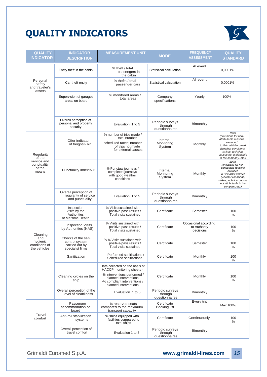

| <b>QUALITY</b><br><b>INDICATOR</b>                           | <b>INDICATOR</b><br><b>DESCRIPTION</b>                                      | <b>MEASUREMENT UNIT</b>                                                                                                                                                       | <b>MODE</b>                                   | <b>FREQUENCY</b><br><b>ASSESSMENT</b>             | <b>QUALITY</b><br><b>STANDARD</b>                                                                                                                                                        |
|--------------------------------------------------------------|-----------------------------------------------------------------------------|-------------------------------------------------------------------------------------------------------------------------------------------------------------------------------|-----------------------------------------------|---------------------------------------------------|------------------------------------------------------------------------------------------------------------------------------------------------------------------------------------------|
|                                                              | Entity theft in the cabin                                                   | % theft / total<br>passengers in<br>the cabin                                                                                                                                 | Statistical calculation                       | AI event                                          | 0.0001%                                                                                                                                                                                  |
| Personal<br>safety<br>and traveler's<br>assets               | Car theft entity                                                            | % thefts / total<br>passenger cars                                                                                                                                            | Statistical calculation                       | All event                                         | 0,0001%                                                                                                                                                                                  |
|                                                              | Supervision of garages<br>areas on board                                    | % monitored areas /<br>total areas                                                                                                                                            | Company<br>specifications                     | Yearly                                            | 100%                                                                                                                                                                                     |
|                                                              | Overall perception of<br>personal and property<br>security                  | Evaluation 1 to 5                                                                                                                                                             | Periodic surveys<br>through<br>questionnaires | Bimonthly                                         |                                                                                                                                                                                          |
| Regularity<br>of the                                         | Offer indicator<br>of freight% Rn                                           | % number of trips made /<br>total number<br>scheduled races; number<br>of trips not made<br>for external causes                                                               | Internal<br>Monitoring<br>System              | Monthly                                           | 100%<br>(omissions for non-<br>attributable reasons<br>excluded<br>to Grimaldi Euromed<br>(weather conditions.<br>strikes, technical<br>causes not attributable<br>to the company, etc.) |
| service and<br>punctuality<br>of the<br>means                | Punctuality index% P                                                        | % Punctual journeys /<br>completed journeys<br>with good weather<br>conditions                                                                                                | Internal<br>Monitoring<br>System              | Monthly                                           | 100%<br>(omissions for non-<br>attributable reasons<br>excluded<br>to Grimaldi Euromed<br>(weather conditions,<br>strikes, technical causes<br>not attributable to the<br>company, etc.) |
|                                                              | Overall perception of<br>regularity of service<br>and punctuality           | Evaluation 1 to 5                                                                                                                                                             | Periodic surveys<br>through<br>questionnaires | Bimonthly                                         |                                                                                                                                                                                          |
|                                                              | Inspection<br>visits by the<br>Authorities<br>of Maritime Health            | % Visits sustained with<br>positive-pass results /<br><b>Total visits sustained</b>                                                                                           | Certificate                                   | Semester                                          | 100<br>$\%$                                                                                                                                                                              |
|                                                              | <b>Inspection Visits</b><br>by Authorities (NAS)                            | % Visits sustained with<br>positive-pass results /<br><b>Total visits sustained</b>                                                                                           | Certificate                                   | Occasional according<br>to Authority<br>decisions | 100<br>$\%$                                                                                                                                                                              |
| Cleaning<br>and<br>hygienic<br>conditions of<br>the vehicles | Checks of the self-<br>control system<br>carried out by<br>specialist firms | % % Visits sustained with<br>positive-pass results /<br>Total visits sustained                                                                                                | Certificate                                   | Semester                                          | 100<br>%                                                                                                                                                                                 |
|                                                              | Sanitization                                                                | Performed sanitizations /<br>Scheduled sanitizations                                                                                                                          | Certificate                                   | Monthly                                           | 100<br>$\%$                                                                                                                                                                              |
|                                                              | Cleaning cycles on the<br>ship                                              | Data collected on the basis of<br>HACCP monitoring sheets -<br>-% interventions performed /<br>planned interventions<br>-% compliant interventions /<br>planned interventions | Certificate                                   | Monthly                                           | 100<br>$\%$                                                                                                                                                                              |
|                                                              | Overall perception of the<br>level of cleanliness                           | Evaluation 1 to 5                                                                                                                                                             | Periodic surveys<br>through<br>questionnaires | Bimonthly                                         |                                                                                                                                                                                          |
|                                                              | Passenger<br>accommodation on<br>board                                      | % reserved seats<br>compared to the maximum<br>transport capacity                                                                                                             | Certificate<br>Booking list                   | Every trip                                        | Max 100%                                                                                                                                                                                 |
| Travel<br>comfort                                            | Anti-roll stabilization<br>systems                                          | % ships equipped with<br>facilities compared to<br>total ships                                                                                                                | Certificate                                   | Continuously                                      | 100<br>$\%$                                                                                                                                                                              |
|                                                              | Overall perception of<br>travel comfort                                     | Evaluation 1 to 5                                                                                                                                                             | Periodic surveys<br>through<br>questionnaires | Bimonthly                                         |                                                                                                                                                                                          |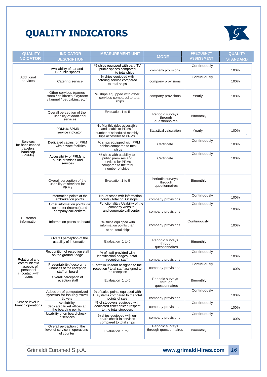

| <b>QUALITY</b>                                               | <b>INDICATOR</b>                                                                    | <b>MEASUREMENT UNIT</b>                                                                                           | <b>MODE</b>                                   | <b>FREQUENCY</b>  | <b>QUALITY</b>  |
|--------------------------------------------------------------|-------------------------------------------------------------------------------------|-------------------------------------------------------------------------------------------------------------------|-----------------------------------------------|-------------------|-----------------|
| <b>INDICATOR</b>                                             | <b>DESCRIPTION</b>                                                                  |                                                                                                                   |                                               | <b>ASSESSMENT</b> | <b>STANDARD</b> |
|                                                              | Availability of bar and<br>TV public spaces                                         | % ships equipped with bar / TV<br>public spaces compared<br>to total ships                                        | company provisions                            | Continuously      | 100%            |
| Additional<br>services                                       | Catering service                                                                    | % ships equipped with<br>catering service compared<br>to total ships                                              | company provisions                            | Continuously      | 100%            |
|                                                              | Other services (games<br>room / children's playroom<br>/ kennel / pet cabins, etc.) | % ships equipped with other<br>services compared to total<br>ships                                                | company provisions                            | Yearly            | 100%            |
|                                                              | Overall perception of the<br>usability of additional<br>services                    | Evaluation 1 to 5                                                                                                 | Periodic surveys<br>through<br>questionnaires | Bimonthly         |                 |
|                                                              | PRMs% SPMR<br>service indicator                                                     | Nr. Monthly rides accessible<br>and usable to PRMs /<br>number of scheduled monthly<br>trips accessible to PRMs   | Statistical calculation                       | Yearly            | 100%            |
| Services<br>for handicapped<br>travelers                     | Dedicated cabins for PRM<br>with private facilities                                 | % ships equipped with PRM<br>cabins compared to total<br>ships                                                    | Certificate                                   | Continuously      | 100%            |
| handicap<br>(PRMs)                                           | Accessibility of PRMs to<br>public premises and<br>services                         | % ships with usability to<br>public premises and<br>services for PRMs<br>compared to the total<br>number of ships | Certificate                                   | Continuously      | 100%            |
|                                                              | Overall perception of the<br>usability of services for<br><b>PRMs</b>               | Evaluation 1 to 5                                                                                                 | Periodic surveys<br>through<br>questionnaires | Bimonthly         |                 |
|                                                              | Information points at the<br>embarkation points                                     | No. of stops with information<br>points / total no. Of stops                                                      | company provisions                            | Continuously      | 100%            |
| Customer                                                     | Other information points via<br>computer (internet) and<br>company call centers     | Functionality / Usability of the<br>company website<br>and corporate call center                                  | company provisions                            | Continuously      | 100%            |
| information                                                  | Information points on board                                                         | % ships equipped with<br>information points than<br>at no. total ships                                            | company provisions                            | Continuously      | 100%            |
|                                                              | Overall perception of the<br>usability of information                               | Evaluation 1 to 5                                                                                                 | Periodic surveys<br>through<br>questionnaires | Bimonthly         |                 |
| Relational and                                               | Recognition of reception staff<br>on the ground / edge                              | % of staff provided with<br>identification badges / total<br>reception staff                                      | company provisions                            | Continuously      | 100%            |
| communicatio<br>n aspects of<br>personnel<br>in contact with | Presentability / decorum /<br>kindness of the reception<br>staff on board           | % staff in uniform assigned to the<br>reception / total staff assigned to<br>the reception                        | company provisions                            | Continuously      | 100%            |
| users                                                        | Overall perception of<br>reception staff                                            | Evaluation 1 to 5                                                                                                 | Periodic surveys<br>through<br>questionnaires | Bimonthly         |                 |
|                                                              | Adoption of computerized<br>systems for issuing travel<br>tickets                   | % of sales points equipped with<br>IT systems compared to the total<br>points of sale                             | company provisions                            | Continuously      | 100%            |
| Service level in<br>branch operations                        | Availability<br>dedicated ticket offices at<br>the boarding points                  | % of stopovers equipped with<br>dedicated ticket offices respect<br>to the total stopovers                        | company provisions                            | Continuously      | 100%            |
|                                                              | Usability of on board check-<br>in services                                         | % ships equipped with on-<br>board check-in services<br>compared to total ships                                   | company provisions                            | Continuously      | 100%            |
|                                                              | Overall perception of the<br>level of service in operations<br>of counter           | Evaluation 1 to 5                                                                                                 | Periodic surveys<br>through questionnaires    | Bimonthly         |                 |

#### Grimaldi Euromed S.p.A. **[www.grimaldi-lines.com](http://www.grimaldi-lines.com/)**

*16*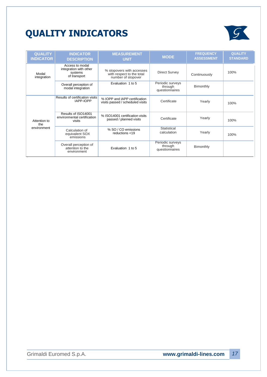

| <b>QUALITY</b><br><b>INDICATOR</b> | <b>INDICATOR</b><br><b>DESCRIPTION</b>                               | <b>MEASUREMENT</b><br><b>UNIT</b>                                            | <b>MODE</b>                                   | <b>FREQUENCY</b><br><b>ASSESSMENT</b> | <b>QUALITY</b><br><b>STANDARD</b> |
|------------------------------------|----------------------------------------------------------------------|------------------------------------------------------------------------------|-----------------------------------------------|---------------------------------------|-----------------------------------|
| Modal<br>integration               | Access to modal<br>integration with other<br>systems<br>of transport | % stopovers with accesses<br>with respect to the total<br>number of stopover | <b>Direct Survey</b>                          | Continuously                          | 100%                              |
|                                    | Overall perception of<br>modal integration                           | Evaluation 1 to 5                                                            | Periodic surveys<br>through<br>questionnaires | Bimonthly                             |                                   |
|                                    | Results of certification visits<br>IAPP-IOPP                         | % IOPP and IAPP certification<br>visits passed / scheduled visits            | Certificate                                   | Yearly                                | 100%                              |
| Attention to<br>the                | Results of ISO14001<br>environmental certification<br>visits         | % ISO14001 certification visits<br>passed / planned visits                   | Certificate                                   | Yearly                                | 100%                              |
| environment                        | Calculation of<br>equivalent SOX<br>emissions                        | % SO / CO emissions<br>reductions <19                                        | Statistical<br>calculation                    | Yearly                                | 100%                              |
|                                    | Overall perception of<br>attention to the<br>environment             | Evaluation 1 to 5                                                            | Periodic surveys<br>through<br>questionnaires | Bimonthly                             |                                   |